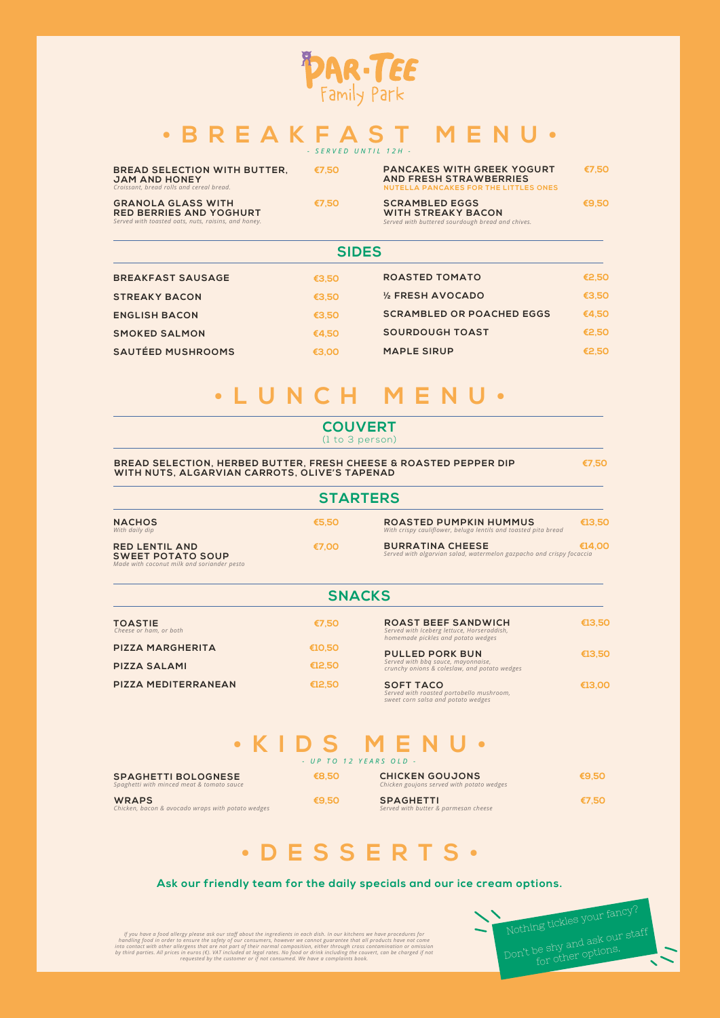## **COUVERT**

(1 to 3 person)

#### **BREAD SELECTION, HERBED BUTTER, FRESH CHEESE & ROASTED PEPPER DIP €7,50 WITH NUTS, ALGARVIAN CARROTS, OLIVE'S TAPENAD**

# **• LUNCH M E N U •**

**SIDES**

| <b>SIDES</b>             |       |                                  |       |
|--------------------------|-------|----------------------------------|-------|
| <b>BREAKFAST SAUSAGE</b> | €3,50 | <b>ROASTED TOMATO</b>            | €2,50 |
| <b>STREAKY BACON</b>     | €3,50 | 1/2 FRESH AVOCADO                | €3,50 |
| <b>ENGLISH BACON</b>     | €3,50 | <b>SCRAMBLED OR POACHED EGGS</b> | €4,50 |
| <b>SMOKED SALMON</b>     | €4,50 | <b>SOURDOUGH TOAST</b>           | €2,50 |
| <b>SAUTÉED MUSHROOMS</b> | €3,00 | <b>MAPLE SIRUP</b>               | €2,50 |



## **• BREAKFAST M E N U •** *- SERVED UNTIL 12H -*

**€8,50**

**WRAPS €9,50**

**SPAGHETTI BOLOGNESE**

*Spaghetti with minced meat & tomato sauce*

*Chicken, bacon & avocado wraps with potato wedges*

**CHICKEN GOUJONS** *Chicken goujons served with potato wedges*

**SPAGHETTI €7,50** *Served with butter & parmesan cheese*

**€9,50**

**• KIDS M E N U •** *- UP TO 12 YEARS OLD -*

# **• DESSERTS •**

| <b>STARTERS</b>                                                                                 |       |                                                                                                 |        |
|-------------------------------------------------------------------------------------------------|-------|-------------------------------------------------------------------------------------------------|--------|
| <b>NACHOS</b><br>With daily dip                                                                 | €5,50 | <b>ROASTED PUMPKIN HUMMUS</b><br>With crispy cauliflower, beluga lentils and toasted pita bread | €13,50 |
| <b>RED LENTIL AND</b><br><b>SWEET POTATO SOUP</b><br>Made with coconut milk and soriander pesto | €7,00 | <b>BURRATINA CHEESE</b><br>Served with algarvian salad, watermelon gazpacho and crispy focaccia | €14.00 |

| <b>BREAD SELECTION WITH BUTTER,</b><br><b>JAM AND HONEY</b><br>Croissant, bread rolls and cereal bread.            | €7,50 | <b>PANCAKES WITH GREEK YOGURT</b><br><b>AND FRESH STRAWBERRIES</b><br>NUTELLA PANCAKES FOR THE LITTLES ONES | €7,50 |
|--------------------------------------------------------------------------------------------------------------------|-------|-------------------------------------------------------------------------------------------------------------|-------|
| <b>GRANOLA GLASS WITH</b><br><b>RED BERRIES AND YOGHURT</b><br>Served with toasted oats, nuts, raisins, and honey. | €7.50 | <b>SCRAMBLED EGGS</b><br><b>WITH STREAKY BACON</b><br>Served with buttered sourdough bread and chives.      | €9,50 |

*If you have a food allergy please ask our staff about the ingredients in each dish. In our kitchens we have procedures for*  handling food in order to ensure the safety of our consumers, however we cannot guarantee that all products have not come<br>into contact with other allergens that are not part of their normal composition, either through cro

### **SNACKS**

| <b>TOASTIE</b><br>Cheese or ham, or both | €7,50     | <b>ROAST BEEF SANDWICH</b><br>Served with Iceberg lettuce, Horseraddish,<br>homemade pickles and potato wedges | €13,50 |
|------------------------------------------|-----------|----------------------------------------------------------------------------------------------------------------|--------|
| <b>PIZZA MARGHERITA</b>                  | € $10,50$ | <b>PULLED PORK BUN</b>                                                                                         | €13,50 |
| <b>PIZZA SALAMI</b>                      | €12,50    | Served with bbg sauce, mayonnaise,<br>crunchy onions & coleslaw, and potato wedges                             |        |
| PIZZA MEDITERRANEAN                      | €12,50    | <b>SOFT TACO</b><br>Served with roasted portobello mushroom,                                                   | €13,00 |

*sweet corn salsa and potato wedges*

#### **Ask our friendly team for the daily specials and our ice cream options.**